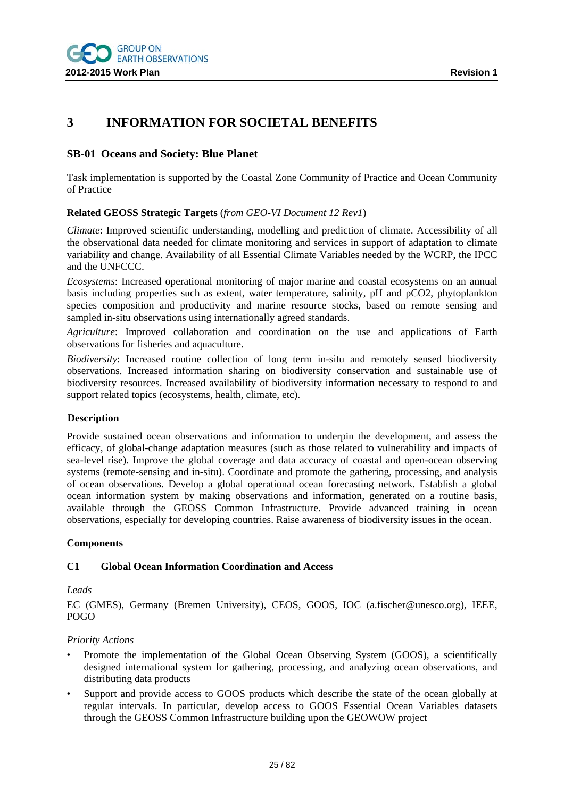

# **3 INFORMATION FOR SOCIETAL BENEFITS**

### **SB-01 Oceans and Society: Blue Planet**

Task implementation is supported by the Coastal Zone Community of Practice and Ocean Community of Practice

#### **Related GEOSS Strategic Targets** (*from GEO-VI Document 12 Rev1*)

*Climate*: Improved scientific understanding, modelling and prediction of climate. Accessibility of all the observational data needed for climate monitoring and services in support of adaptation to climate variability and change. Availability of all Essential Climate Variables needed by the WCRP, the IPCC and the UNFCCC.

*Ecosystems*: Increased operational monitoring of major marine and coastal ecosystems on an annual basis including properties such as extent, water temperature, salinity, pH and pCO2, phytoplankton species composition and productivity and marine resource stocks, based on remote sensing and sampled in-situ observations using internationally agreed standards.

*Agriculture*: Improved collaboration and coordination on the use and applications of Earth observations for fisheries and aquaculture.

*Biodiversity*: Increased routine collection of long term in-situ and remotely sensed biodiversity observations. Increased information sharing on biodiversity conservation and sustainable use of biodiversity resources. Increased availability of biodiversity information necessary to respond to and support related topics (ecosystems, health, climate, etc).

#### **Description**

Provide sustained ocean observations and information to underpin the development, and assess the efficacy, of global-change adaptation measures (such as those related to vulnerability and impacts of sea-level rise). Improve the global coverage and data accuracy of coastal and open-ocean observing systems (remote-sensing and in-situ). Coordinate and promote the gathering, processing, and analysis of ocean observations. Develop a global operational ocean forecasting network. Establish a global ocean information system by making observations and information, generated on a routine basis, available through the GEOSS Common Infrastructure. Provide advanced training in ocean observations, especially for developing countries. Raise awareness of biodiversity issues in the ocean.

#### **Components**

#### **C1 Global Ocean Information Coordination and Access**

#### *Leads*

EC (GMES), Germany (Bremen University), CEOS, GOOS, IOC (a.fischer@unesco.org), IEEE, POGO

#### *Priority Actions*

- Promote the implementation of the Global Ocean Observing System (GOOS), a scientifically designed international system for gathering, processing, and analyzing ocean observations, and distributing data products
- Support and provide access to GOOS products which describe the state of the ocean globally at regular intervals. In particular, develop access to GOOS Essential Ocean Variables datasets through the GEOSS Common Infrastructure building upon the GEOWOW project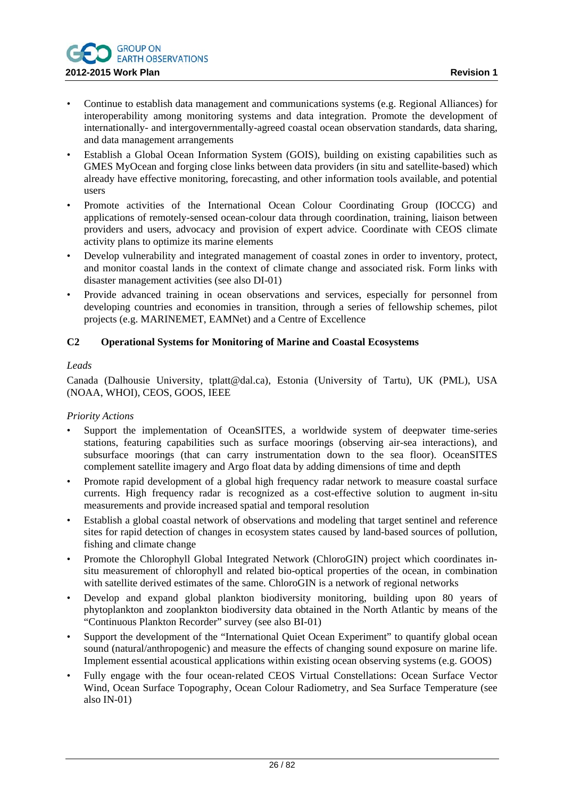

- Continue to establish data management and communications systems (e.g. Regional Alliances) for interoperability among monitoring systems and data integration. Promote the development of internationally- and intergovernmentally-agreed coastal ocean observation standards, data sharing, and data management arrangements
- Establish a Global Ocean Information System (GOIS), building on existing capabilities such as GMES MyOcean and forging close links between data providers (in situ and satellite-based) which already have effective monitoring, forecasting, and other information tools available, and potential users
- Promote activities of the International Ocean Colour Coordinating Group (IOCCG) and applications of remotely-sensed ocean-colour data through coordination, training, liaison between providers and users, advocacy and provision of expert advice. Coordinate with CEOS climate activity plans to optimize its marine elements
- Develop vulnerability and integrated management of coastal zones in order to inventory, protect, and monitor coastal lands in the context of climate change and associated risk. Form links with disaster management activities (see also DI-01)
- Provide advanced training in ocean observations and services, especially for personnel from developing countries and economies in transition, through a series of fellowship schemes, pilot projects (e.g. MARINEMET, EAMNet) and a Centre of Excellence

## **C2 Operational Systems for Monitoring of Marine and Coastal Ecosystems**

### *Leads*

Canada (Dalhousie University, tplatt@dal.ca), Estonia (University of Tartu), UK (PML), USA (NOAA, WHOI), CEOS, GOOS, IEEE

#### *Priority Actions*

- Support the implementation of OceanSITES, a worldwide system of deepwater time-series stations, featuring capabilities such as surface moorings (observing air-sea interactions), and subsurface moorings (that can carry instrumentation down to the sea floor). OceanSITES complement satellite imagery and Argo float data by adding dimensions of time and depth
- Promote rapid development of a global high frequency radar network to measure coastal surface currents. High frequency radar is recognized as a cost-effective solution to augment in-situ measurements and provide increased spatial and temporal resolution
- Establish a global coastal network of observations and modeling that target sentinel and reference sites for rapid detection of changes in ecosystem states caused by land-based sources of pollution, fishing and climate change
- Promote the Chlorophyll Global Integrated Network (ChloroGIN) project which coordinates insitu measurement of chlorophyll and related bio-optical properties of the ocean, in combination with satellite derived estimates of the same. ChloroGIN is a network of regional networks
- Develop and expand global plankton biodiversity monitoring, building upon 80 years of phytoplankton and zooplankton biodiversity data obtained in the North Atlantic by means of the "Continuous Plankton Recorder" survey (see also BI-01)
- Support the development of the "International Quiet Ocean Experiment" to quantify global ocean sound (natural/anthropogenic) and measure the effects of changing sound exposure on marine life. Implement essential acoustical applications within existing ocean observing systems (e.g. GOOS)
- Fully engage with the four ocean‐related CEOS Virtual Constellations: Ocean Surface Vector Wind, Ocean Surface Topography, Ocean Colour Radiometry, and Sea Surface Temperature (see also IN-01)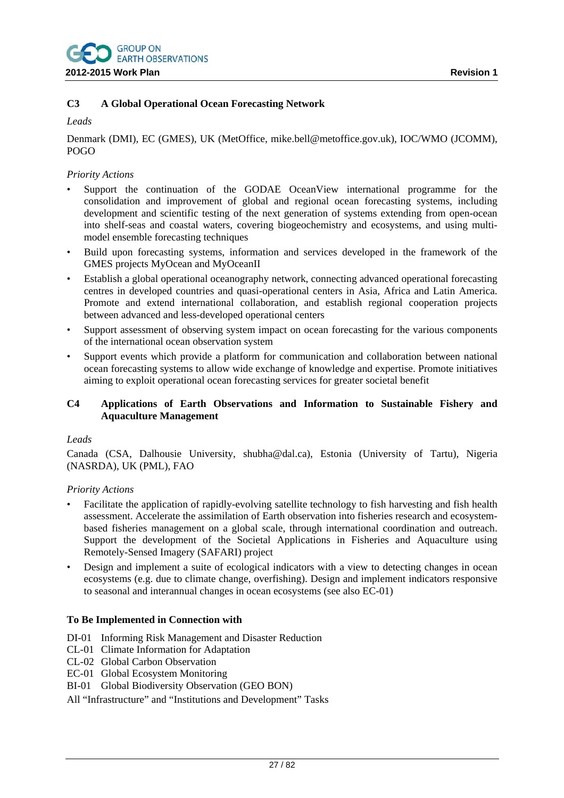## **C3 A Global Operational Ocean Forecasting Network**

# *Leads*

Denmark (DMI), EC (GMES), UK (MetOffice, mike.bell@metoffice.gov.uk), IOC/WMO (JCOMM), POGO

## *Priority Actions*

- Support the continuation of the GODAE OceanView international programme for the consolidation and improvement of global and regional ocean forecasting systems, including development and scientific testing of the next generation of systems extending from open-ocean into shelf-seas and coastal waters, covering biogeochemistry and ecosystems, and using multimodel ensemble forecasting techniques
- Build upon forecasting systems, information and services developed in the framework of the GMES projects MyOcean and MyOceanII
- Establish a global operational oceanography network, connecting advanced operational forecasting centres in developed countries and quasi-operational centers in Asia, Africa and Latin America. Promote and extend international collaboration, and establish regional cooperation projects between advanced and less-developed operational centers
- Support assessment of observing system impact on ocean forecasting for the various components of the international ocean observation system
- Support events which provide a platform for communication and collaboration between national ocean forecasting systems to allow wide exchange of knowledge and expertise. Promote initiatives aiming to exploit operational ocean forecasting services for greater societal benefit

## **C4 Applications of Earth Observations and Information to Sustainable Fishery and Aquaculture Management**

#### *Leads*

Canada (CSA, Dalhousie University, shubha@dal.ca), Estonia (University of Tartu), Nigeria (NASRDA), UK (PML), FAO

#### *Priority Actions*

- Facilitate the application of rapidly-evolving satellite technology to fish harvesting and fish health assessment. Accelerate the assimilation of Earth observation into fisheries research and ecosystembased fisheries management on a global scale, through international coordination and outreach. Support the development of the Societal Applications in Fisheries and Aquaculture using Remotely-Sensed Imagery (SAFARI) project
- Design and implement a suite of ecological indicators with a view to detecting changes in ocean ecosystems (e.g. due to climate change, overfishing). Design and implement indicators responsive to seasonal and interannual changes in ocean ecosystems (see also EC-01)

## **To Be Implemented in Connection with**

- DI-01 Informing Risk Management and Disaster Reduction
- CL-01 Climate Information for Adaptation
- CL-02 Global Carbon Observation
- EC-01 Global Ecosystem Monitoring
- BI-01 Global Biodiversity Observation (GEO BON)
- All "Infrastructure" and "Institutions and Development" Tasks